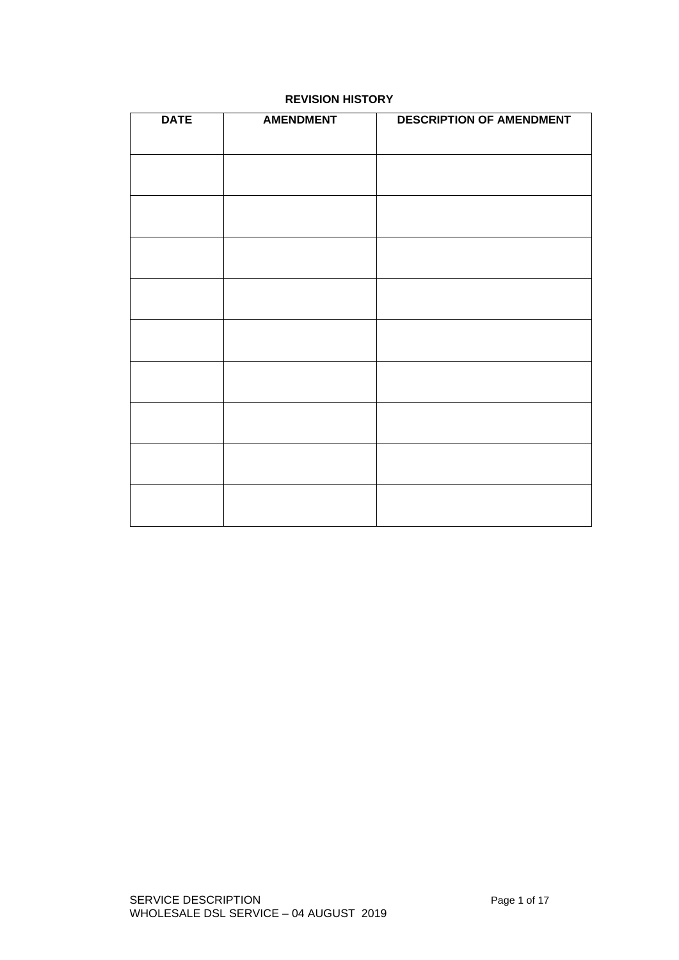| <b>DATE</b> | <b>AMENDMENT</b> | <b>DESCRIPTION OF AMENDMENT</b> |
|-------------|------------------|---------------------------------|
|             |                  |                                 |
|             |                  |                                 |
|             |                  |                                 |
|             |                  |                                 |
|             |                  |                                 |
|             |                  |                                 |
|             |                  |                                 |
|             |                  |                                 |
|             |                  |                                 |
|             |                  |                                 |
|             |                  |                                 |
|             |                  |                                 |
|             |                  |                                 |
|             |                  |                                 |
|             |                  |                                 |
|             |                  |                                 |
|             |                  |                                 |
|             |                  |                                 |
|             |                  |                                 |
|             |                  |                                 |
|             |                  |                                 |
|             |                  |                                 |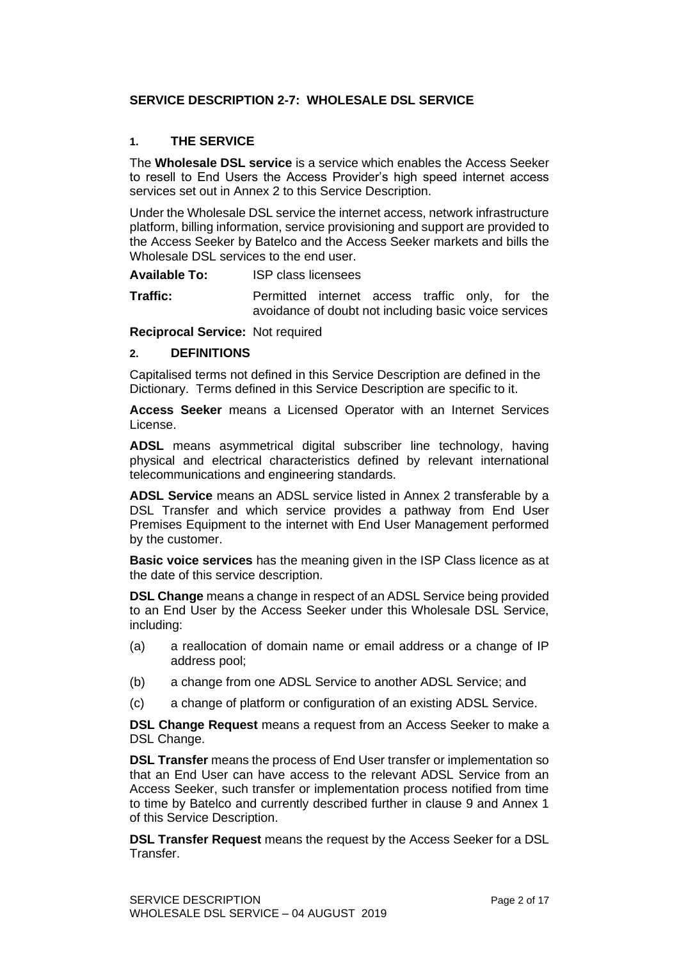#### **SERVICE DESCRIPTION 2-7: WHOLESALE DSL SERVICE**

### **1. THE SERVICE**

The **Wholesale DSL service** is a service which enables the Access Seeker to resell to End Users the Access Provider's high speed internet access services set out in Annex 2 to this Service Description.

Under the Wholesale DSL service the internet access, network infrastructure platform, billing information, service provisioning and support are provided to the Access Seeker by Batelco and the Access Seeker markets and bills the Wholesale DSL services to the end user.

**Available To:** ISP class licensees

**Traffic:** Permitted internet access traffic only, for the avoidance of doubt not including basic voice services

**Reciprocal Service:** Not required

#### **2. DEFINITIONS**

Capitalised terms not defined in this Service Description are defined in the Dictionary. Terms defined in this Service Description are specific to it.

**Access Seeker** means a Licensed Operator with an Internet Services License.

**ADSL** means asymmetrical digital subscriber line technology, having physical and electrical characteristics defined by relevant international telecommunications and engineering standards.

**ADSL Service** means an ADSL service listed in Annex 2 transferable by a DSL Transfer and which service provides a pathway from End User Premises Equipment to the internet with End User Management performed by the customer.

**Basic voice services** has the meaning given in the ISP Class licence as at the date of this service description.

**DSL Change** means a change in respect of an ADSL Service being provided to an End User by the Access Seeker under this Wholesale DSL Service, including:

- (a) a reallocation of domain name or email address or a change of IP address pool;
- (b) a change from one ADSL Service to another ADSL Service; and
- (c) a change of platform or configuration of an existing ADSL Service.

**DSL Change Request** means a request from an Access Seeker to make a DSL Change.

**DSL Transfer** means the process of End User transfer or implementation so that an End User can have access to the relevant ADSL Service from an Access Seeker, such transfer or implementation process notified from time to time by Batelco and currently described further in clause 9 and Annex 1 of this Service Description.

**DSL Transfer Request** means the request by the Access Seeker for a DSL Transfer.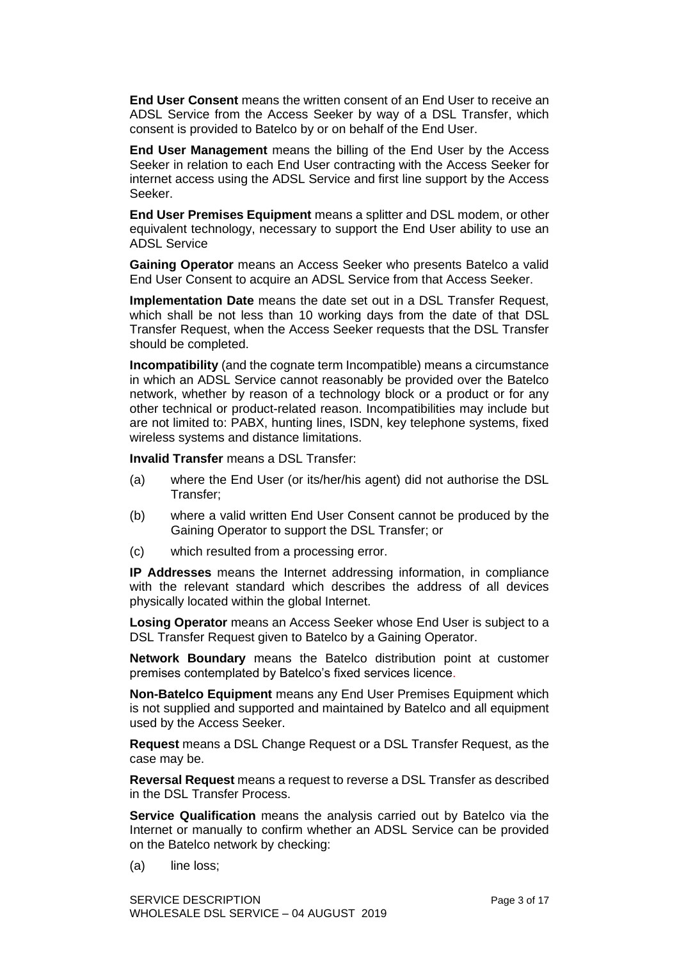**End User Consent** means the written consent of an End User to receive an ADSL Service from the Access Seeker by way of a DSL Transfer, which consent is provided to Batelco by or on behalf of the End User.

**End User Management** means the billing of the End User by the Access Seeker in relation to each End User contracting with the Access Seeker for internet access using the ADSL Service and first line support by the Access Seeker.

**End User Premises Equipment** means a splitter and DSL modem, or other equivalent technology, necessary to support the End User ability to use an ADSL Service

**Gaining Operator** means an Access Seeker who presents Batelco a valid End User Consent to acquire an ADSL Service from that Access Seeker.

**Implementation Date** means the date set out in a DSL Transfer Request, which shall be not less than 10 working days from the date of that DSL Transfer Request, when the Access Seeker requests that the DSL Transfer should be completed.

**Incompatibility** (and the cognate term Incompatible) means a circumstance in which an ADSL Service cannot reasonably be provided over the Batelco network, whether by reason of a technology block or a product or for any other technical or product-related reason. Incompatibilities may include but are not limited to: PABX, hunting lines, ISDN, key telephone systems, fixed wireless systems and distance limitations.

**Invalid Transfer** means a DSL Transfer:

- (a) where the End User (or its/her/his agent) did not authorise the DSL Transfer;
- (b) where a valid written End User Consent cannot be produced by the Gaining Operator to support the DSL Transfer; or
- (c) which resulted from a processing error.

**IP Addresses** means the Internet addressing information, in compliance with the relevant standard which describes the address of all devices physically located within the global Internet.

**Losing Operator** means an Access Seeker whose End User is subject to a DSL Transfer Request given to Batelco by a Gaining Operator.

**Network Boundary** means the Batelco distribution point at customer premises contemplated by Batelco's fixed services licence.

**Non-Batelco Equipment** means any End User Premises Equipment which is not supplied and supported and maintained by Batelco and all equipment used by the Access Seeker.

**Request** means a DSL Change Request or a DSL Transfer Request, as the case may be.

**Reversal Request** means a request to reverse a DSL Transfer as described in the DSL Transfer Process.

**Service Qualification** means the analysis carried out by Batelco via the Internet or manually to confirm whether an ADSL Service can be provided on the Batelco network by checking:

(a) line loss;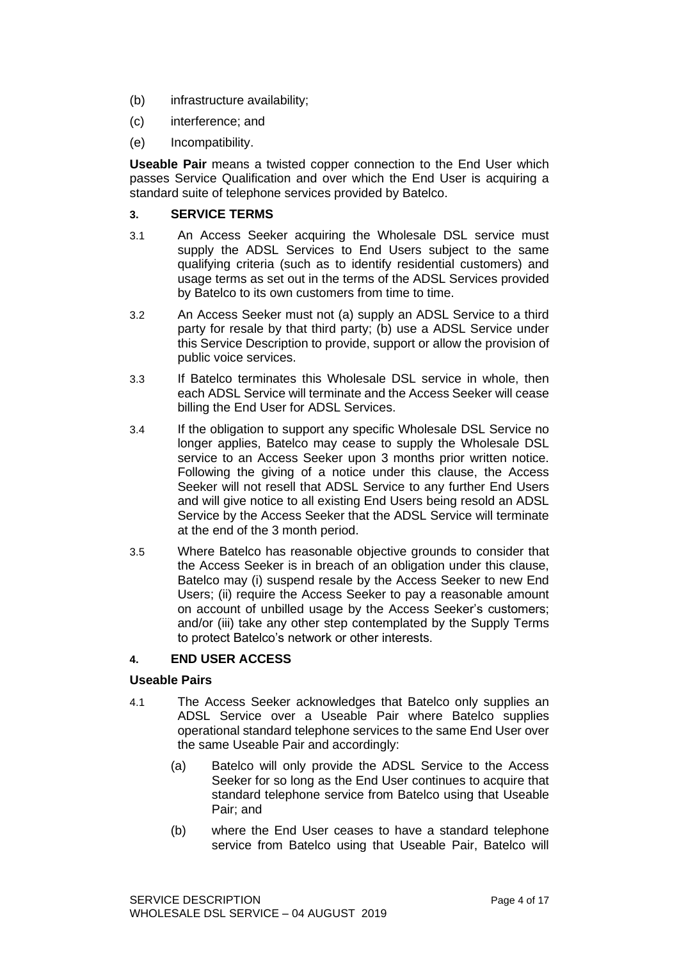- (b) infrastructure availability;
- (c) interference; and
- (e) Incompatibility.

**Useable Pair** means a twisted copper connection to the End User which passes Service Qualification and over which the End User is acquiring a standard suite of telephone services provided by Batelco.

### **3. SERVICE TERMS**

- 3.1 An Access Seeker acquiring the Wholesale DSL service must supply the ADSL Services to End Users subject to the same qualifying criteria (such as to identify residential customers) and usage terms as set out in the terms of the ADSL Services provided by Batelco to its own customers from time to time.
- 3.2 An Access Seeker must not (a) supply an ADSL Service to a third party for resale by that third party; (b) use a ADSL Service under this Service Description to provide, support or allow the provision of public voice services.
- 3.3 If Batelco terminates this Wholesale DSL service in whole, then each ADSL Service will terminate and the Access Seeker will cease billing the End User for ADSL Services.
- 3.4 If the obligation to support any specific Wholesale DSL Service no longer applies, Batelco may cease to supply the Wholesale DSL service to an Access Seeker upon 3 months prior written notice. Following the giving of a notice under this clause, the Access Seeker will not resell that ADSL Service to any further End Users and will give notice to all existing End Users being resold an ADSL Service by the Access Seeker that the ADSL Service will terminate at the end of the 3 month period.
- 3.5 Where Batelco has reasonable objective grounds to consider that the Access Seeker is in breach of an obligation under this clause, Batelco may (i) suspend resale by the Access Seeker to new End Users; (ii) require the Access Seeker to pay a reasonable amount on account of unbilled usage by the Access Seeker's customers; and/or (iii) take any other step contemplated by the Supply Terms to protect Batelco's network or other interests.

# **4. END USER ACCESS**

# **Useable Pairs**

- 4.1 The Access Seeker acknowledges that Batelco only supplies an ADSL Service over a Useable Pair where Batelco supplies operational standard telephone services to the same End User over the same Useable Pair and accordingly:
	- (a) Batelco will only provide the ADSL Service to the Access Seeker for so long as the End User continues to acquire that standard telephone service from Batelco using that Useable Pair; and
	- (b) where the End User ceases to have a standard telephone service from Batelco using that Useable Pair, Batelco will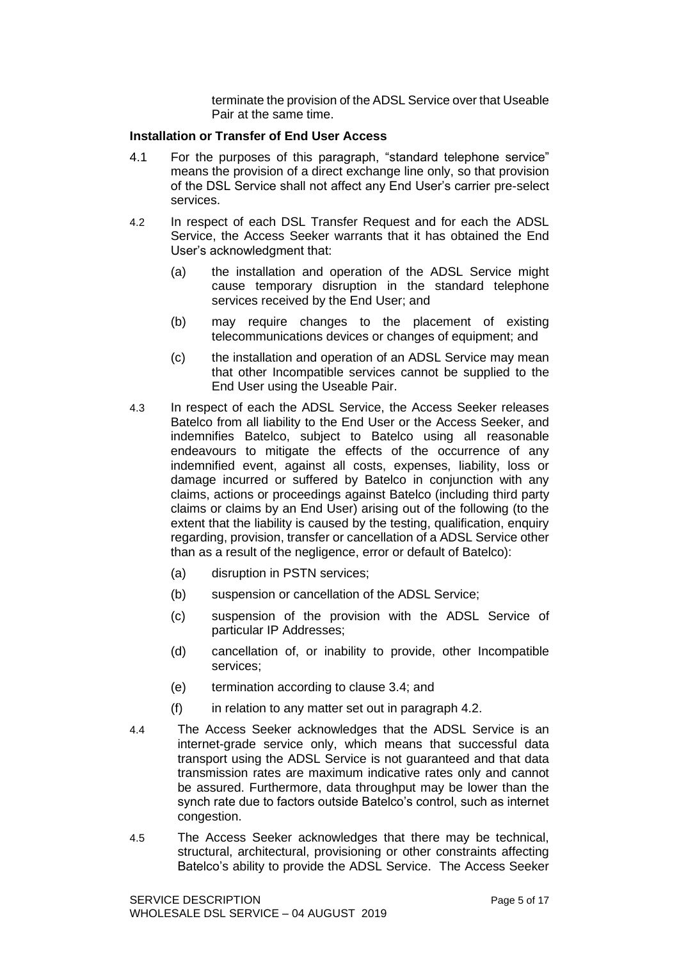terminate the provision of the ADSL Service over that Useable Pair at the same time.

#### **Installation or Transfer of End User Access**

- 4.1 For the purposes of this paragraph, "standard telephone service" means the provision of a direct exchange line only, so that provision of the DSL Service shall not affect any End User's carrier pre-select services.
- 4.2 In respect of each DSL Transfer Request and for each the ADSL Service, the Access Seeker warrants that it has obtained the End User's acknowledgment that:
	- (a) the installation and operation of the ADSL Service might cause temporary disruption in the standard telephone services received by the End User; and
	- (b) may require changes to the placement of existing telecommunications devices or changes of equipment; and
	- (c) the installation and operation of an ADSL Service may mean that other Incompatible services cannot be supplied to the End User using the Useable Pair.
- 4.3 In respect of each the ADSL Service, the Access Seeker releases Batelco from all liability to the End User or the Access Seeker, and indemnifies Batelco, subject to Batelco using all reasonable endeavours to mitigate the effects of the occurrence of any indemnified event, against all costs, expenses, liability, loss or damage incurred or suffered by Batelco in conjunction with any claims, actions or proceedings against Batelco (including third party claims or claims by an End User) arising out of the following (to the extent that the liability is caused by the testing, qualification, enquiry regarding, provision, transfer or cancellation of a ADSL Service other than as a result of the negligence, error or default of Batelco):
	- (a) disruption in PSTN services;
	- (b) suspension or cancellation of the ADSL Service;
	- (c) suspension of the provision with the ADSL Service of particular IP Addresses;
	- (d) cancellation of, or inability to provide, other Incompatible services;
	- (e) termination according to clause 3.4; and
	- $(f)$  in relation to any matter set out in paragraph 4.2.
- 4.4 The Access Seeker acknowledges that the ADSL Service is an internet-grade service only, which means that successful data transport using the ADSL Service is not guaranteed and that data transmission rates are maximum indicative rates only and cannot be assured. Furthermore, data throughput may be lower than the synch rate due to factors outside Batelco's control, such as internet congestion.
- 4.5 The Access Seeker acknowledges that there may be technical, structural, architectural, provisioning or other constraints affecting Batelco's ability to provide the ADSL Service. The Access Seeker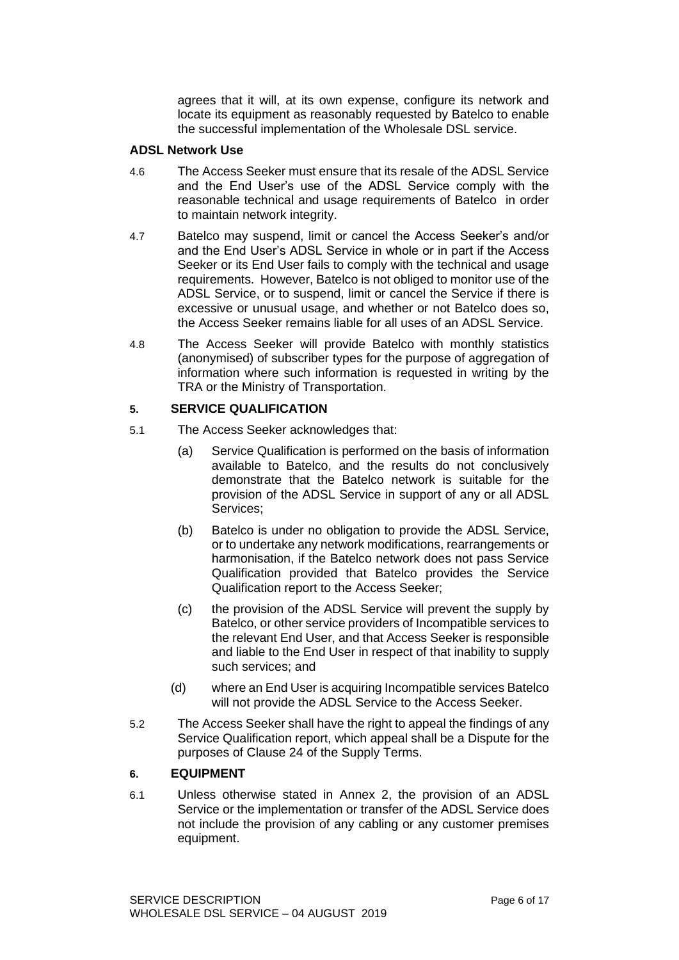agrees that it will, at its own expense, configure its network and locate its equipment as reasonably requested by Batelco to enable the successful implementation of the Wholesale DSL service.

### **ADSL Network Use**

- 4.6 The Access Seeker must ensure that its resale of the ADSL Service and the End User's use of the ADSL Service comply with the reasonable technical and usage requirements of Batelco in order to maintain network integrity.
- 4.7 Batelco may suspend, limit or cancel the Access Seeker's and/or and the End User's ADSL Service in whole or in part if the Access Seeker or its End User fails to comply with the technical and usage requirements. However, Batelco is not obliged to monitor use of the ADSL Service, or to suspend, limit or cancel the Service if there is excessive or unusual usage, and whether or not Batelco does so, the Access Seeker remains liable for all uses of an ADSL Service.
- 4.8 The Access Seeker will provide Batelco with monthly statistics (anonymised) of subscriber types for the purpose of aggregation of information where such information is requested in writing by the TRA or the Ministry of Transportation.

#### **5. SERVICE QUALIFICATION**

- 5.1 The Access Seeker acknowledges that:
	- (a) Service Qualification is performed on the basis of information available to Batelco, and the results do not conclusively demonstrate that the Batelco network is suitable for the provision of the ADSL Service in support of any or all ADSL Services;
	- (b) Batelco is under no obligation to provide the ADSL Service, or to undertake any network modifications, rearrangements or harmonisation, if the Batelco network does not pass Service Qualification provided that Batelco provides the Service Qualification report to the Access Seeker;
	- (c) the provision of the ADSL Service will prevent the supply by Batelco, or other service providers of Incompatible services to the relevant End User, and that Access Seeker is responsible and liable to the End User in respect of that inability to supply such services; and
	- (d) where an End User is acquiring Incompatible services Batelco will not provide the ADSL Service to the Access Seeker.
- 5.2 The Access Seeker shall have the right to appeal the findings of any Service Qualification report, which appeal shall be a Dispute for the purposes of Clause 24 of the Supply Terms.

### **6. EQUIPMENT**

6.1 Unless otherwise stated in Annex 2, the provision of an ADSL Service or the implementation or transfer of the ADSL Service does not include the provision of any cabling or any customer premises equipment.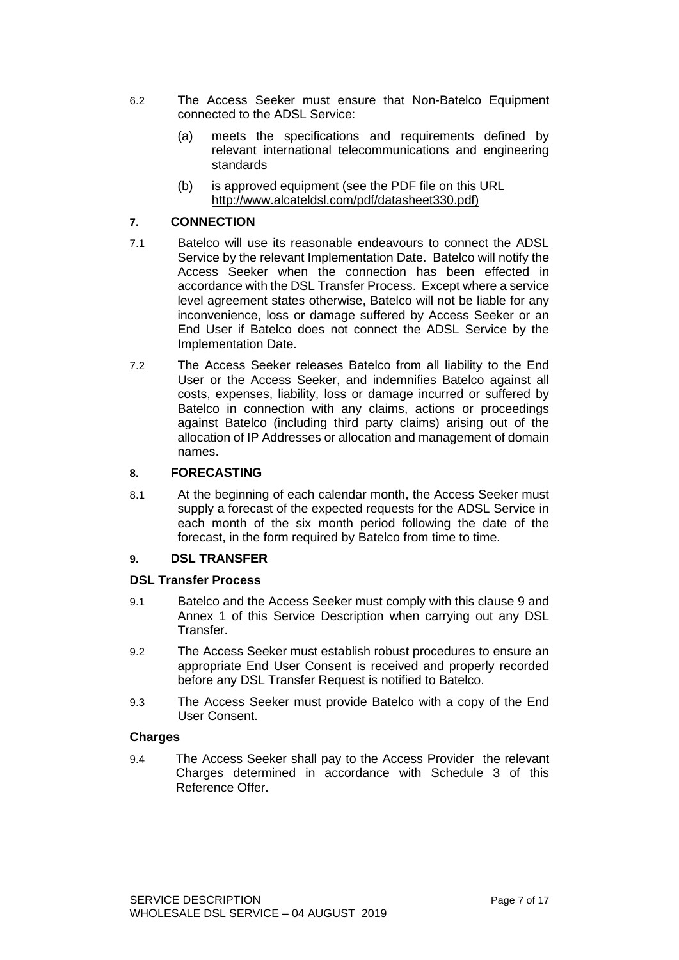- 6.2 The Access Seeker must ensure that Non-Batelco Equipment connected to the ADSL Service:
	- (a) meets the specifications and requirements defined by relevant international telecommunications and engineering standards
	- (b) is approved equipment (see the PDF file on this URL http://www.alcateldsl.com/pdf/datasheet330.pdf)

### **7. CONNECTION**

- 7.1 Batelco will use its reasonable endeavours to connect the ADSL Service by the relevant Implementation Date. Batelco will notify the Access Seeker when the connection has been effected in accordance with the DSL Transfer Process. Except where a service level agreement states otherwise, Batelco will not be liable for any inconvenience, loss or damage suffered by Access Seeker or an End User if Batelco does not connect the ADSL Service by the Implementation Date.
- 7.2 The Access Seeker releases Batelco from all liability to the End User or the Access Seeker, and indemnifies Batelco against all costs, expenses, liability, loss or damage incurred or suffered by Batelco in connection with any claims, actions or proceedings against Batelco (including third party claims) arising out of the allocation of IP Addresses or allocation and management of domain names.

### **8. FORECASTING**

8.1 At the beginning of each calendar month, the Access Seeker must supply a forecast of the expected requests for the ADSL Service in each month of the six month period following the date of the forecast, in the form required by Batelco from time to time.

### **9. DSL TRANSFER**

### **DSL Transfer Process**

- 9.1 Batelco and the Access Seeker must comply with this clause 9 and Annex 1 of this Service Description when carrying out any DSL Transfer.
- 9.2 The Access Seeker must establish robust procedures to ensure an appropriate End User Consent is received and properly recorded before any DSL Transfer Request is notified to Batelco.
- 9.3 The Access Seeker must provide Batelco with a copy of the End User Consent.

### **Charges**

9.4 The Access Seeker shall pay to the Access Provider the relevant Charges determined in accordance with Schedule 3 of this Reference Offer.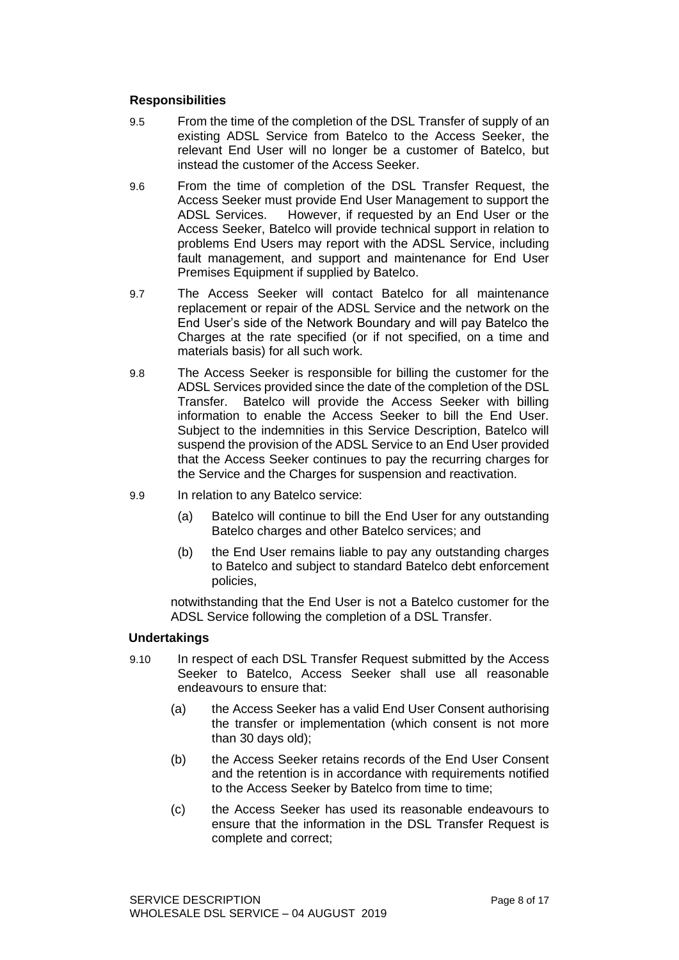#### **Responsibilities**

- 9.5 From the time of the completion of the DSL Transfer of supply of an existing ADSL Service from Batelco to the Access Seeker, the relevant End User will no longer be a customer of Batelco, but instead the customer of the Access Seeker.
- 9.6 From the time of completion of the DSL Transfer Request, the Access Seeker must provide End User Management to support the ADSL Services. However, if requested by an End User or the Access Seeker, Batelco will provide technical support in relation to problems End Users may report with the ADSL Service, including fault management, and support and maintenance for End User Premises Equipment if supplied by Batelco.
- 9.7 The Access Seeker will contact Batelco for all maintenance replacement or repair of the ADSL Service and the network on the End User's side of the Network Boundary and will pay Batelco the Charges at the rate specified (or if not specified, on a time and materials basis) for all such work.
- 9.8 The Access Seeker is responsible for billing the customer for the ADSL Services provided since the date of the completion of the DSL Transfer. Batelco will provide the Access Seeker with billing information to enable the Access Seeker to bill the End User. Subject to the indemnities in this Service Description, Batelco will suspend the provision of the ADSL Service to an End User provided that the Access Seeker continues to pay the recurring charges for the Service and the Charges for suspension and reactivation.
- 9.9 In relation to any Batelco service:
	- (a) Batelco will continue to bill the End User for any outstanding Batelco charges and other Batelco services; and
	- (b) the End User remains liable to pay any outstanding charges to Batelco and subject to standard Batelco debt enforcement policies,

notwithstanding that the End User is not a Batelco customer for the ADSL Service following the completion of a DSL Transfer.

#### **Undertakings**

- 9.10 In respect of each DSL Transfer Request submitted by the Access Seeker to Batelco, Access Seeker shall use all reasonable endeavours to ensure that:
	- (a) the Access Seeker has a valid End User Consent authorising the transfer or implementation (which consent is not more than 30 days old);
	- (b) the Access Seeker retains records of the End User Consent and the retention is in accordance with requirements notified to the Access Seeker by Batelco from time to time;
	- (c) the Access Seeker has used its reasonable endeavours to ensure that the information in the DSL Transfer Request is complete and correct;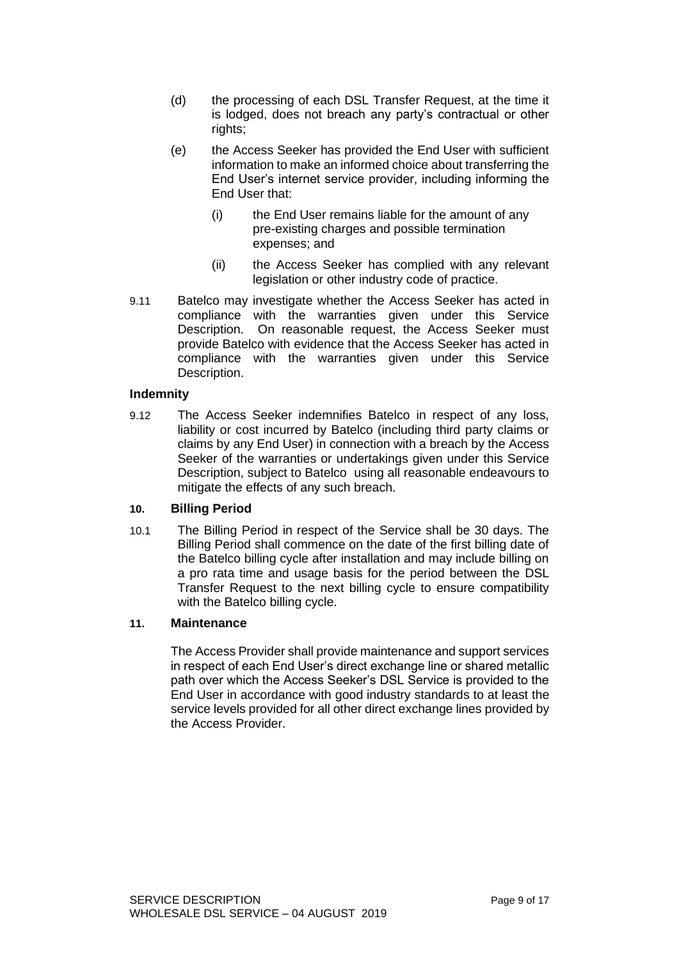- (d) the processing of each DSL Transfer Request, at the time it is lodged, does not breach any party's contractual or other rights;
- (e) the Access Seeker has provided the End User with sufficient information to make an informed choice about transferring the End User's internet service provider, including informing the End User that:
	- (i) the End User remains liable for the amount of any pre-existing charges and possible termination expenses; and
	- (ii) the Access Seeker has complied with any relevant legislation or other industry code of practice.
- 9.11 Batelco may investigate whether the Access Seeker has acted in compliance with the warranties given under this Service Description. On reasonable request, the Access Seeker must provide Batelco with evidence that the Access Seeker has acted in compliance with the warranties given under this Service Description.

#### **Indemnity**

9.12 The Access Seeker indemnifies Batelco in respect of any loss, liability or cost incurred by Batelco (including third party claims or claims by any End User) in connection with a breach by the Access Seeker of the warranties or undertakings given under this Service Description, subject to Batelco using all reasonable endeavours to mitigate the effects of any such breach.

### **10. Billing Period**

10.1 The Billing Period in respect of the Service shall be 30 days. The Billing Period shall commence on the date of the first billing date of the Batelco billing cycle after installation and may include billing on a pro rata time and usage basis for the period between the DSL Transfer Request to the next billing cycle to ensure compatibility with the Batelco billing cycle.

#### **11. Maintenance**

The Access Provider shall provide maintenance and support services in respect of each End User's direct exchange line or shared metallic path over which the Access Seeker's DSL Service is provided to the End User in accordance with good industry standards to at least the service levels provided for all other direct exchange lines provided by the Access Provider.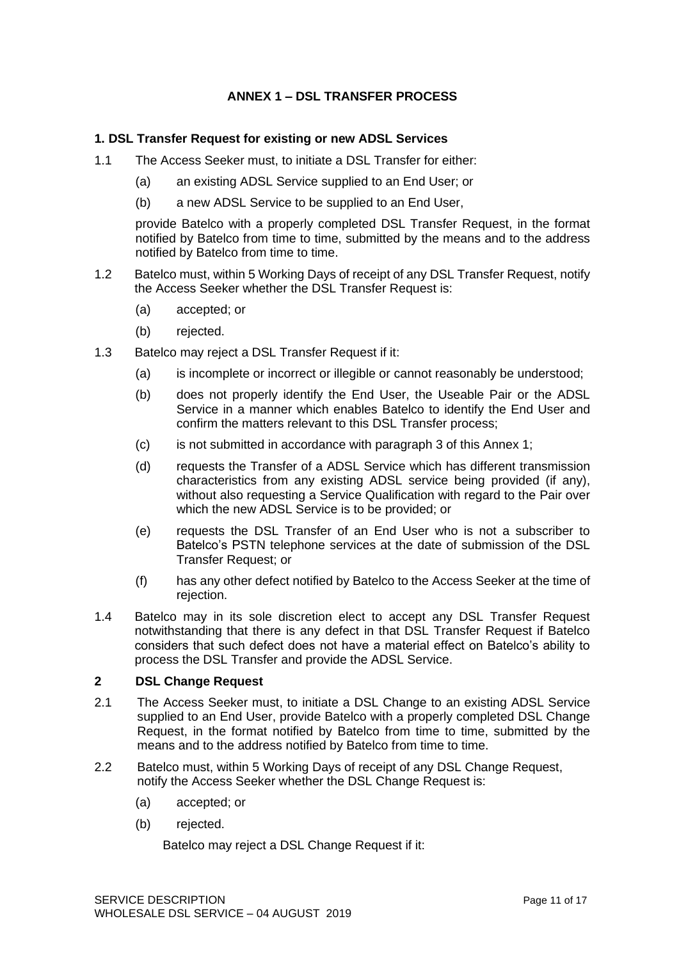# **ANNEX 1 – DSL TRANSFER PROCESS**

### **1. DSL Transfer Request for existing or new ADSL Services**

- 1.1 The Access Seeker must, to initiate a DSL Transfer for either:
	- (a) an existing ADSL Service supplied to an End User; or
	- (b) a new ADSL Service to be supplied to an End User,

provide Batelco with a properly completed DSL Transfer Request, in the format notified by Batelco from time to time, submitted by the means and to the address notified by Batelco from time to time.

- 1.2 Batelco must, within 5 Working Days of receipt of any DSL Transfer Request, notify the Access Seeker whether the DSL Transfer Request is:
	- (a) accepted; or
	- (b) rejected.
- 1.3 Batelco may reject a DSL Transfer Request if it:
	- (a) is incomplete or incorrect or illegible or cannot reasonably be understood;
	- (b) does not properly identify the End User, the Useable Pair or the ADSL Service in a manner which enables Batelco to identify the End User and confirm the matters relevant to this DSL Transfer process;
	- (c) is not submitted in accordance with paragraph 3 of this Annex 1;
	- (d) requests the Transfer of a ADSL Service which has different transmission characteristics from any existing ADSL service being provided (if any), without also requesting a Service Qualification with regard to the Pair over which the new ADSL Service is to be provided; or
	- (e) requests the DSL Transfer of an End User who is not a subscriber to Batelco's PSTN telephone services at the date of submission of the DSL Transfer Request; or
	- (f) has any other defect notified by Batelco to the Access Seeker at the time of rejection.
- 1.4 Batelco may in its sole discretion elect to accept any DSL Transfer Request notwithstanding that there is any defect in that DSL Transfer Request if Batelco considers that such defect does not have a material effect on Batelco's ability to process the DSL Transfer and provide the ADSL Service.

### **2 DSL Change Request**

- 2.1 The Access Seeker must, to initiate a DSL Change to an existing ADSL Service supplied to an End User, provide Batelco with a properly completed DSL Change Request, in the format notified by Batelco from time to time, submitted by the means and to the address notified by Batelco from time to time.
- 2.2 Batelco must, within 5 Working Days of receipt of any DSL Change Request, notify the Access Seeker whether the DSL Change Request is:
	- (a) accepted; or
	- (b) rejected.

Batelco may reject a DSL Change Request if it: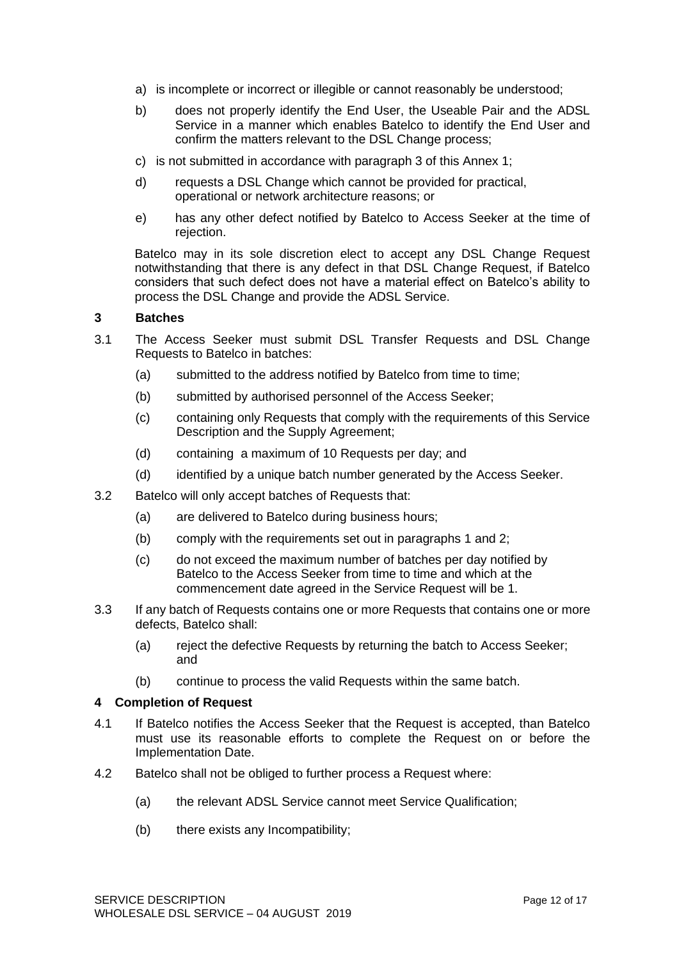- a) is incomplete or incorrect or illegible or cannot reasonably be understood;
- b) does not properly identify the End User, the Useable Pair and the ADSL Service in a manner which enables Batelco to identify the End User and confirm the matters relevant to the DSL Change process;
- c) is not submitted in accordance with paragraph 3 of this Annex 1;
- d) requests a DSL Change which cannot be provided for practical, operational or network architecture reasons; or
- e) has any other defect notified by Batelco to Access Seeker at the time of rejection.

Batelco may in its sole discretion elect to accept any DSL Change Request notwithstanding that there is any defect in that DSL Change Request, if Batelco considers that such defect does not have a material effect on Batelco's ability to process the DSL Change and provide the ADSL Service.

### **3 Batches**

- 3.1 The Access Seeker must submit DSL Transfer Requests and DSL Change Requests to Batelco in batches:
	- (a) submitted to the address notified by Batelco from time to time;
	- (b) submitted by authorised personnel of the Access Seeker;
	- (c) containing only Requests that comply with the requirements of this Service Description and the Supply Agreement;
	- (d) containing a maximum of 10 Requests per day; and
	- (d) identified by a unique batch number generated by the Access Seeker.
- 3.2 Batelco will only accept batches of Requests that:
	- (a) are delivered to Batelco during business hours;
	- (b) comply with the requirements set out in paragraphs 1 and 2;
	- (c) do not exceed the maximum number of batches per day notified by Batelco to the Access Seeker from time to time and which at the commencement date agreed in the Service Request will be 1.
- 3.3 If any batch of Requests contains one or more Requests that contains one or more defects, Batelco shall:
	- (a) reject the defective Requests by returning the batch to Access Seeker; and
	- (b) continue to process the valid Requests within the same batch.

#### **4 Completion of Request**

- 4.1 If Batelco notifies the Access Seeker that the Request is accepted, than Batelco must use its reasonable efforts to complete the Request on or before the Implementation Date.
- 4.2 Batelco shall not be obliged to further process a Request where:
	- (a) the relevant ADSL Service cannot meet Service Qualification;
	- (b) there exists any Incompatibility;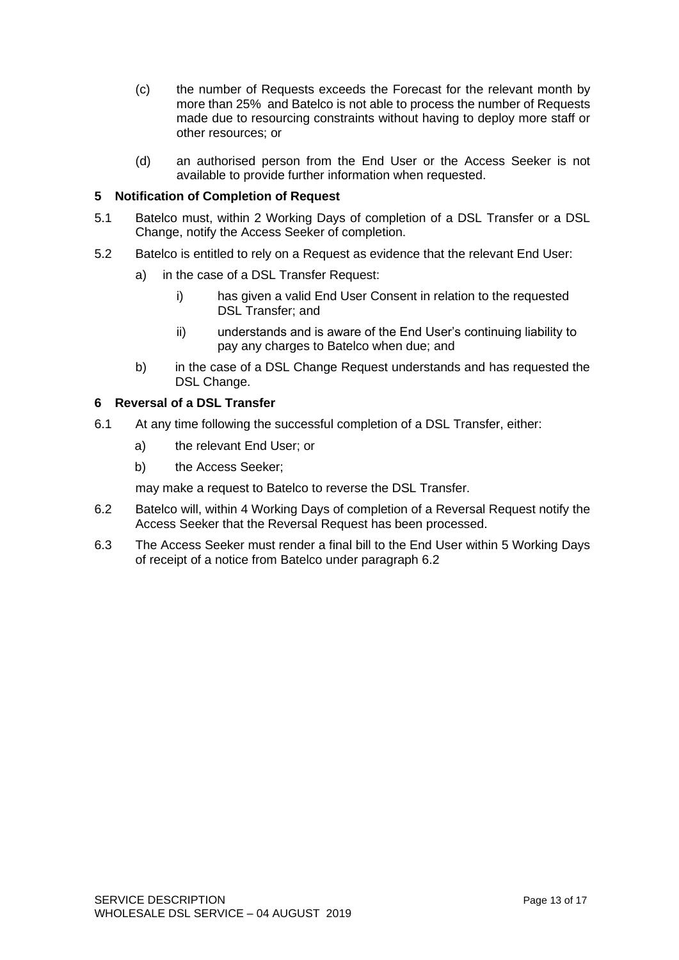- (c) the number of Requests exceeds the Forecast for the relevant month by more than 25% and Batelco is not able to process the number of Requests made due to resourcing constraints without having to deploy more staff or other resources; or
- (d) an authorised person from the End User or the Access Seeker is not available to provide further information when requested.

### **5 Notification of Completion of Request**

- 5.1 Batelco must, within 2 Working Days of completion of a DSL Transfer or a DSL Change, notify the Access Seeker of completion.
- 5.2 Batelco is entitled to rely on a Request as evidence that the relevant End User:
	- a) in the case of a DSL Transfer Request:
		- i) has given a valid End User Consent in relation to the requested DSL Transfer; and
		- ii) understands and is aware of the End User's continuing liability to pay any charges to Batelco when due; and
	- b) in the case of a DSL Change Request understands and has requested the DSL Change.

### **6 Reversal of a DSL Transfer**

- 6.1 At any time following the successful completion of a DSL Transfer, either:
	- a) the relevant End User; or
	- b) the Access Seeker;

may make a request to Batelco to reverse the DSL Transfer.

- 6.2 Batelco will, within 4 Working Days of completion of a Reversal Request notify the Access Seeker that the Reversal Request has been processed.
- 6.3 The Access Seeker must render a final bill to the End User within 5 Working Days of receipt of a notice from Batelco under paragraph 6.2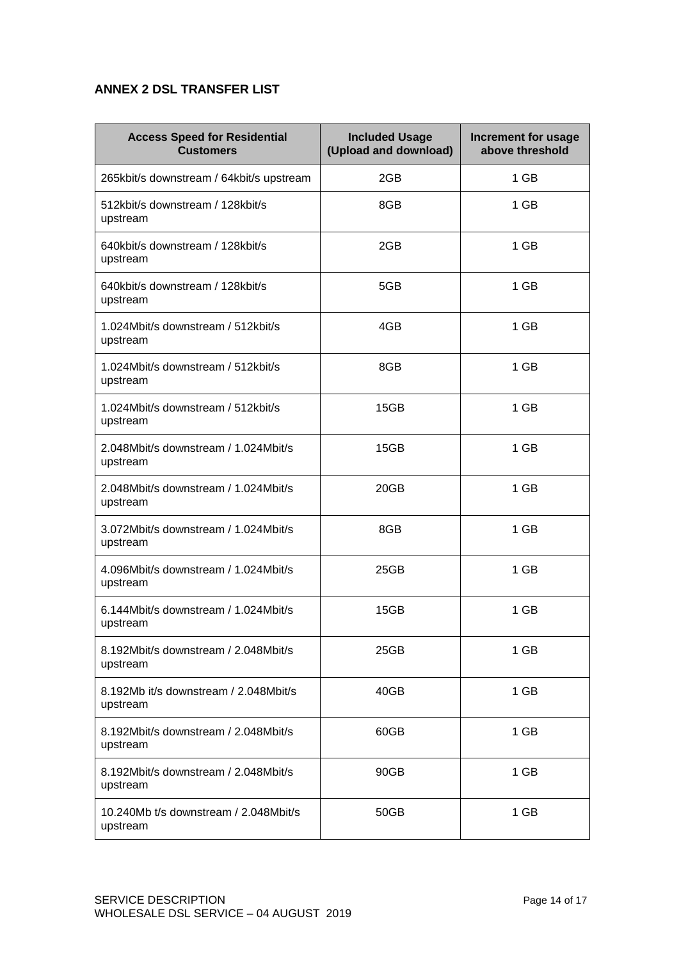# **ANNEX 2 DSL TRANSFER LIST**

| <b>Access Speed for Residential</b><br><b>Customers</b> | <b>Included Usage</b><br>(Upload and download) | <b>Increment for usage</b><br>above threshold |
|---------------------------------------------------------|------------------------------------------------|-----------------------------------------------|
| 265kbit/s downstream / 64kbit/s upstream                | 2GB                                            | 1 GB                                          |
| 512kbit/s downstream / 128kbit/s<br>upstream            | 8GB                                            | 1 GB                                          |
| 640kbit/s downstream / 128kbit/s<br>upstream            | 2GB                                            | 1 GB                                          |
| 640kbit/s downstream / 128kbit/s<br>upstream            | 5GB                                            | 1 GB                                          |
| 1.024Mbit/s downstream / 512kbit/s<br>upstream          | 4GB                                            | 1 GB                                          |
| 1.024Mbit/s downstream / 512kbit/s<br>upstream          | 8GB                                            | 1 GB                                          |
| 1.024Mbit/s downstream / 512kbit/s<br>upstream          | 15GB                                           | 1 GB                                          |
| 2.048Mbit/s downstream / 1.024Mbit/s<br>upstream        | 15GB                                           | 1 GB                                          |
| 2.048Mbit/s downstream / 1.024Mbit/s<br>upstream        | 20GB                                           | 1 GB                                          |
| 3.072Mbit/s downstream / 1.024Mbit/s<br>upstream        | 8GB                                            | 1 GB                                          |
| 4.096Mbit/s downstream / 1.024Mbit/s<br>upstream        | 25GB                                           | 1 GB                                          |
| 6.144Mbit/s downstream / 1.024Mbit/s<br>upstream        | 15GB                                           | 1 GB                                          |
| 8.192Mbit/s downstream / 2.048Mbit/s<br>upstream        | 25GB                                           | 1 GB                                          |
| 8.192Mb it/s downstream / 2.048Mbit/s<br>upstream       | 40GB                                           | 1 GB                                          |
| 8.192Mbit/s downstream / 2.048Mbit/s<br>upstream        | 60GB                                           | 1 GB                                          |
| 8.192Mbit/s downstream / 2.048Mbit/s<br>upstream        | 90GB                                           | 1 GB                                          |
| 10.240Mb t/s downstream / 2.048Mbit/s<br>upstream       | 50GB                                           | 1 GB                                          |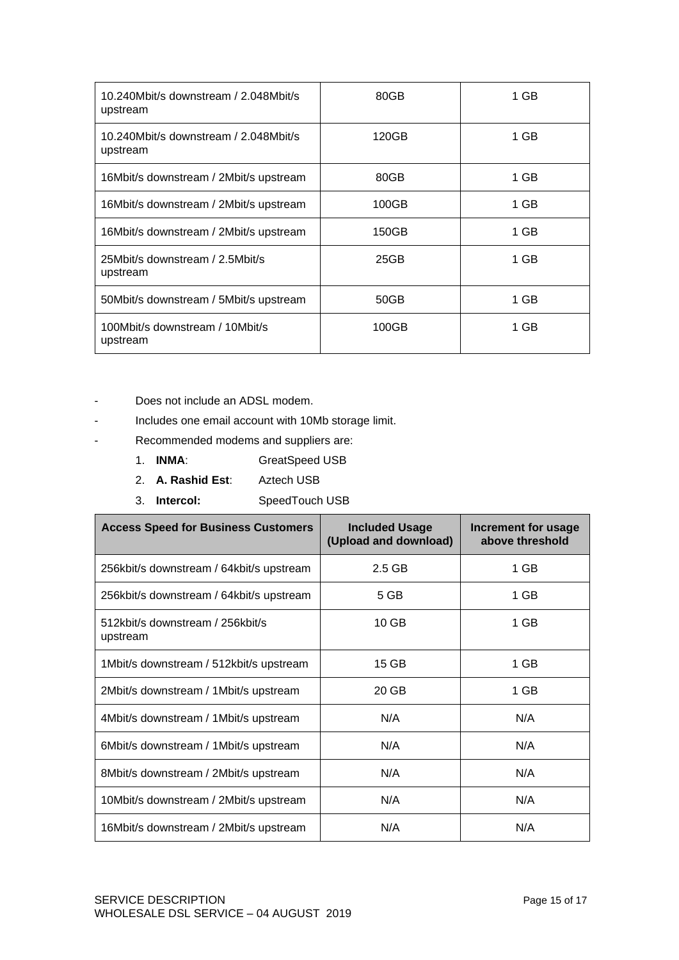| 10.240Mbit/s downstream / 2.048Mbit/s<br>upstream | 80GB  | 1 GB |
|---------------------------------------------------|-------|------|
| 10.240Mbit/s downstream / 2.048Mbit/s<br>upstream | 120GB | 1 GB |
| 16Mbit/s downstream / 2Mbit/s upstream            | 80GB  | 1 GB |
| 16Mbit/s downstream / 2Mbit/s upstream            | 100GB | 1 GB |
| 16Mbit/s downstream / 2Mbit/s upstream            | 150GB | 1 GB |
| 25Mbit/s downstream / 2.5Mbit/s<br>upstream       | 25GB  | 1 GB |
| 50Mbit/s downstream / 5Mbit/s upstream            | 50GB  | 1 GB |
| 100Mbit/s downstream / 10Mbit/s<br>upstream       | 100GB | 1 GB |

- Does not include an ADSL modem.
- Includes one email account with 10Mb storage limit.
- Recommended modems and suppliers are:
	- 1. **INMA**: GreatSpeed USB
	- 2. **A. Rashid Est**: Aztech USB
	- 3. **Intercol:** SpeedTouch USB

| <b>Access Speed for Business Customers</b>   | <b>Included Usage</b><br>(Upload and download) | Increment for usage<br>above threshold |
|----------------------------------------------|------------------------------------------------|----------------------------------------|
| 256kbit/s downstream / 64kbit/s upstream     | $2.5$ GB                                       | 1 GB                                   |
| 256kbit/s downstream / 64kbit/s upstream     | 5 GB                                           | 1 GB                                   |
| 512kbit/s downstream / 256kbit/s<br>upstream | 10 <sub>GB</sub>                               | 1 GB                                   |
| 1Mbit/s downstream / 512kbit/s upstream      | 15 GB                                          | 1 GB                                   |
| 2Mbit/s downstream / 1Mbit/s upstream        | 20 GB                                          | 1 GB                                   |
| 4Mbit/s downstream / 1Mbit/s upstream        | N/A                                            | N/A                                    |
| 6Mbit/s downstream / 1Mbit/s upstream        | N/A                                            | N/A                                    |
| 8Mbit/s downstream / 2Mbit/s upstream        | N/A                                            | N/A                                    |
| 10Mbit/s downstream / 2Mbit/s upstream       | N/A                                            | N/A                                    |
| 16Mbit/s downstream / 2Mbit/s upstream       | N/A                                            | N/A                                    |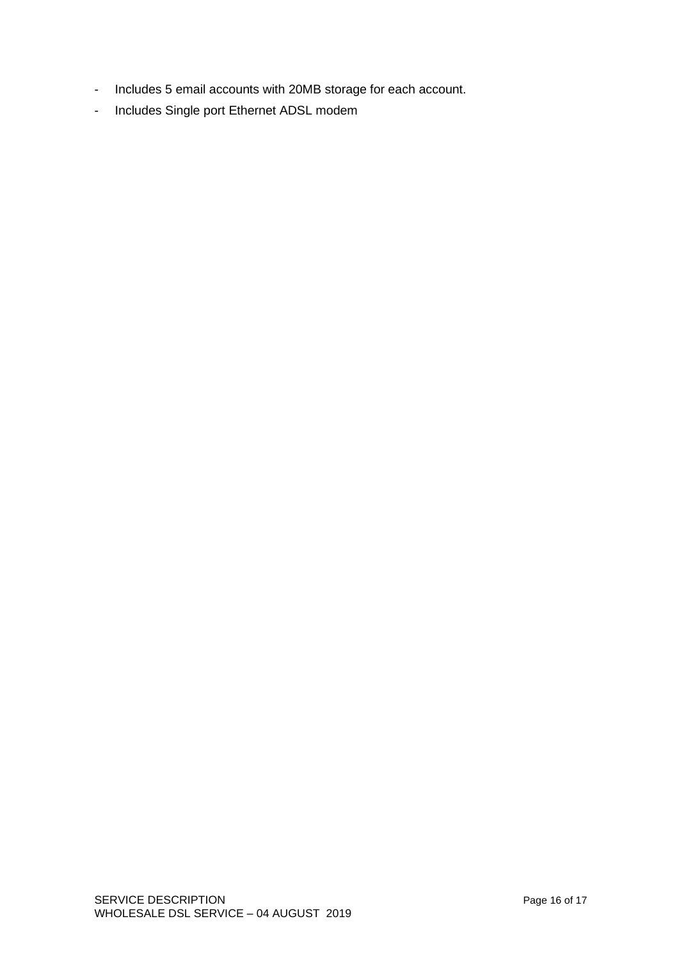- Includes 5 email accounts with 20MB storage for each account.
- Includes Single port Ethernet ADSL modem